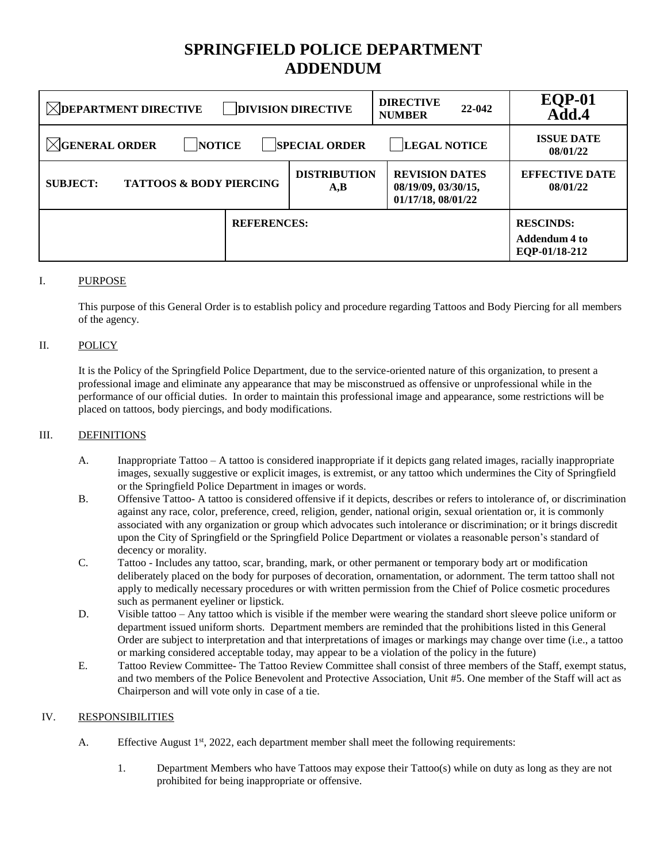# **SPRINGFIELD POLICE DEPARTMENT ADDENDUM**

| <b>DIRECTIVE</b><br>$\boxtimes$ DEPARTMENT DIRECTIVE<br><b>DIVISION DIRECTIVE</b><br>22-042<br><b>NUMBER</b> |                                                |                                                                    |                                   | <b>EQP-01</b><br>Add.4                             |
|--------------------------------------------------------------------------------------------------------------|------------------------------------------------|--------------------------------------------------------------------|-----------------------------------|----------------------------------------------------|
| $\boxtimes$ GENERAL ORDER<br><b>LEGAL NOTICE</b><br><b>SPECIAL ORDER</b><br><b>NOTICE</b>                    |                                                |                                                                    |                                   | <b>ISSUE DATE</b><br>08/01/22                      |
| <b>TATTOOS &amp; BODY PIERCING</b><br><b>SUBJECT:</b>                                                        | <b>DISTRIBUTION</b><br>$\mathbf{A},\mathbf{B}$ | <b>REVISION DATES</b><br>08/19/09, 03/30/15,<br>01/17/18, 08/01/22 | <b>EFFECTIVE DATE</b><br>08/01/22 |                                                    |
|                                                                                                              | <b>REFERENCES:</b>                             |                                                                    |                                   | <b>RESCINDS:</b><br>Addendum 4 to<br>EQP-01/18-212 |

### I. PURPOSE

This purpose of this General Order is to establish policy and procedure regarding Tattoos and Body Piercing for all members of the agency.

#### II. POLICY

It is the Policy of the Springfield Police Department, due to the service-oriented nature of this organization, to present a professional image and eliminate any appearance that may be misconstrued as offensive or unprofessional while in the performance of our official duties. In order to maintain this professional image and appearance, some restrictions will be placed on tattoos, body piercings, and body modifications.

#### III. DEFINITIONS

- A. Inappropriate Tattoo A tattoo is considered inappropriate if it depicts gang related images, racially inappropriate images, sexually suggestive or explicit images, is extremist, or any tattoo which undermines the City of Springfield or the Springfield Police Department in images or words.
- B. Offensive Tattoo- A tattoo is considered offensive if it depicts, describes or refers to intolerance of, or discrimination against any race, color, preference, creed, religion, gender, national origin, sexual orientation or, it is commonly associated with any organization or group which advocates such intolerance or discrimination; or it brings discredit upon the City of Springfield or the Springfield Police Department or violates a reasonable person's standard of decency or morality.
- C. Tattoo Includes any tattoo, scar, branding, mark, or other permanent or temporary body art or modification deliberately placed on the body for purposes of decoration, ornamentation, or adornment. The term tattoo shall not apply to medically necessary procedures or with written permission from the Chief of Police cosmetic procedures such as permanent eyeliner or lipstick.
- D. Visible tattoo Any tattoo which is visible if the member were wearing the standard short sleeve police uniform or department issued uniform shorts. Department members are reminded that the prohibitions listed in this General Order are subject to interpretation and that interpretations of images or markings may change over time (i.e., a tattoo or marking considered acceptable today, may appear to be a violation of the policy in the future)
- E. Tattoo Review Committee- The Tattoo Review Committee shall consist of three members of the Staff, exempt status, and two members of the Police Benevolent and Protective Association, Unit #5. One member of the Staff will act as Chairperson and will vote only in case of a tie.

#### IV. RESPONSIBILITIES

- A. Effective August 1<sup>st</sup>, 2022, each department member shall meet the following requirements:
	- 1. Department Members who have Tattoos may expose their Tattoo(s) while on duty as long as they are not prohibited for being inappropriate or offensive.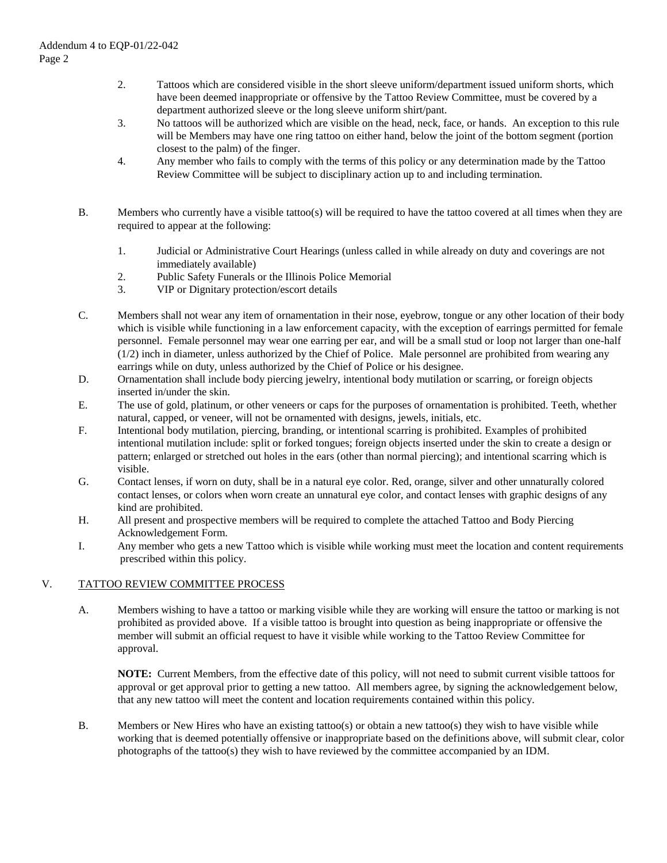- 2. Tattoos which are considered visible in the short sleeve uniform/department issued uniform shorts, which have been deemed inappropriate or offensive by the Tattoo Review Committee, must be covered by a department authorized sleeve or the long sleeve uniform shirt/pant.
- 3. No tattoos will be authorized which are visible on the head, neck, face, or hands. An exception to this rule will be Members may have one ring tattoo on either hand, below the joint of the bottom segment (portion closest to the palm) of the finger.
- 4. Any member who fails to comply with the terms of this policy or any determination made by the Tattoo Review Committee will be subject to disciplinary action up to and including termination.
- B. Members who currently have a visible tattoo(s) will be required to have the tattoo covered at all times when they are required to appear at the following:
	- 1. Judicial or Administrative Court Hearings (unless called in while already on duty and coverings are not immediately available)
	- 2. Public Safety Funerals or the Illinois Police Memorial
	- 3. VIP or Dignitary protection/escort details
- C. Members shall not wear any item of ornamentation in their nose, eyebrow, tongue or any other location of their body which is visible while functioning in a law enforcement capacity, with the exception of earrings permitted for female personnel. Female personnel may wear one earring per ear, and will be a small stud or loop not larger than one-half (1/2) inch in diameter, unless authorized by the Chief of Police. Male personnel are prohibited from wearing any earrings while on duty, unless authorized by the Chief of Police or his designee.
- D. Ornamentation shall include body piercing jewelry, intentional body mutilation or scarring, or foreign objects inserted in/under the skin.
- E. The use of gold, platinum, or other veneers or caps for the purposes of ornamentation is prohibited. Teeth, whether natural, capped, or veneer, will not be ornamented with designs, jewels, initials, etc.
- F. Intentional body mutilation, piercing, branding, or intentional scarring is prohibited. Examples of prohibited intentional mutilation include: split or forked tongues; foreign objects inserted under the skin to create a design or pattern; enlarged or stretched out holes in the ears (other than normal piercing); and intentional scarring which is visible.
- G. Contact lenses, if worn on duty, shall be in a natural eye color. Red, orange, silver and other unnaturally colored contact lenses, or colors when worn create an unnatural eye color, and contact lenses with graphic designs of any kind are prohibited.
- H. All present and prospective members will be required to complete the attached Tattoo and Body Piercing Acknowledgement Form.
- I. Any member who gets a new Tattoo which is visible while working must meet the location and content requirements prescribed within this policy.

## V. TATTOO REVIEW COMMITTEE PROCESS

A. Members wishing to have a tattoo or marking visible while they are working will ensure the tattoo or marking is not prohibited as provided above. If a visible tattoo is brought into question as being inappropriate or offensive the member will submit an official request to have it visible while working to the Tattoo Review Committee for approval.

**NOTE:** Current Members, from the effective date of this policy, will not need to submit current visible tattoos for approval or get approval prior to getting a new tattoo. All members agree, by signing the acknowledgement below, that any new tattoo will meet the content and location requirements contained within this policy.

B. Members or New Hires who have an existing tattoo(s) or obtain a new tattoo(s) they wish to have visible while working that is deemed potentially offensive or inappropriate based on the definitions above, will submit clear, color photographs of the tattoo(s) they wish to have reviewed by the committee accompanied by an IDM.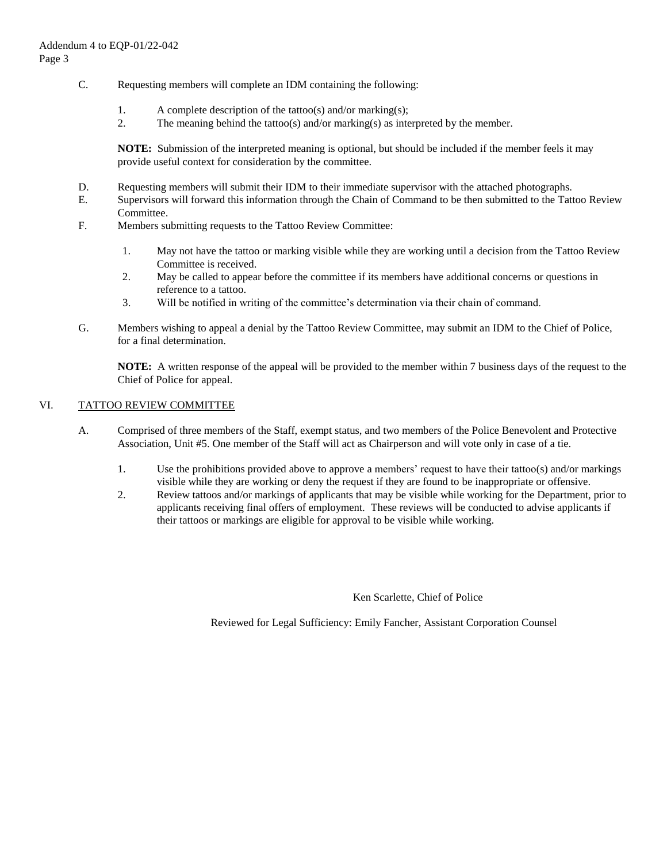- C. Requesting members will complete an IDM containing the following:
	- 1. A complete description of the tattoo(s) and/or marking(s);
	- 2. The meaning behind the tattoo(s) and/or marking(s) as interpreted by the member.

**NOTE:** Submission of the interpreted meaning is optional, but should be included if the member feels it may provide useful context for consideration by the committee.

- D. Requesting members will submit their IDM to their immediate supervisor with the attached photographs.
- E. Supervisors will forward this information through the Chain of Command to be then submitted to the Tattoo Review Committee.
- F. Members submitting requests to the Tattoo Review Committee:
	- 1. May not have the tattoo or marking visible while they are working until a decision from the Tattoo Review Committee is received.
	- 2. May be called to appear before the committee if its members have additional concerns or questions in reference to a tattoo.
	- 3. Will be notified in writing of the committee's determination via their chain of command.
- G. Members wishing to appeal a denial by the Tattoo Review Committee, may submit an IDM to the Chief of Police, for a final determination.

**NOTE:** A written response of the appeal will be provided to the member within 7 business days of the request to the Chief of Police for appeal.

#### VI. TATTOO REVIEW COMMITTEE

- A. Comprised of three members of the Staff, exempt status, and two members of the Police Benevolent and Protective Association, Unit #5. One member of the Staff will act as Chairperson and will vote only in case of a tie.
	- 1. Use the prohibitions provided above to approve a members' request to have their tattoo(s) and/or markings visible while they are working or deny the request if they are found to be inappropriate or offensive.
	- 2. Review tattoos and/or markings of applicants that may be visible while working for the Department, prior to applicants receiving final offers of employment. These reviews will be conducted to advise applicants if their tattoos or markings are eligible for approval to be visible while working.

Ken Scarlette, Chief of Police

Reviewed for Legal Sufficiency: Emily Fancher, Assistant Corporation Counsel